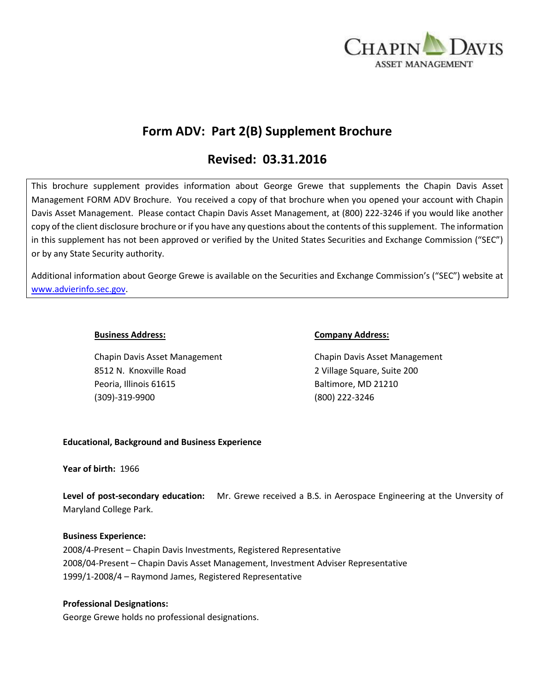

# **Form ADV: Part 2(B) Supplement Brochure**

# **Revised: 03.31.2016**

This brochure supplement provides information about George Grewe that supplements the Chapin Davis Asset Management FORM ADV Brochure. You received a copy of that brochure when you opened your account with Chapin Davis Asset Management. Please contact Chapin Davis Asset Management, at (800) 222-3246 if you would like another copy of the client disclosure brochure or if you have any questions about the contents of this supplement. The information in this supplement has not been approved or verified by the United States Securities and Exchange Commission ("SEC") or by any State Security authority.

Additional information about George Grewe is available on the Securities and Exchange Commission's ("SEC") website at [www.advierinfo.sec.gov.](http://www.advierinfo.sec.gov/)

Chapin Davis Asset Management Chapin Davis Asset Management 8512 N. Knoxville Road 2 Village Square, Suite 200 Peoria, Illinois 61615 Baltimore, MD 21210 (309)-319-9900 (800) 222-3246

#### **Business Address: Company Address:**

# **Educational, Background and Business Experience**

#### **Year of birth:** 1966

**Level of post-secondary education:** Mr. Grewe received a B.S. in Aerospace Engineering at the Unversity of Maryland College Park.

#### **Business Experience:**

2008/4-Present – Chapin Davis Investments, Registered Representative 2008/04-Present – Chapin Davis Asset Management, Investment Adviser Representative 1999/1-2008/4 – Raymond James, Registered Representative

# **Professional Designations:**

George Grewe holds no professional designations.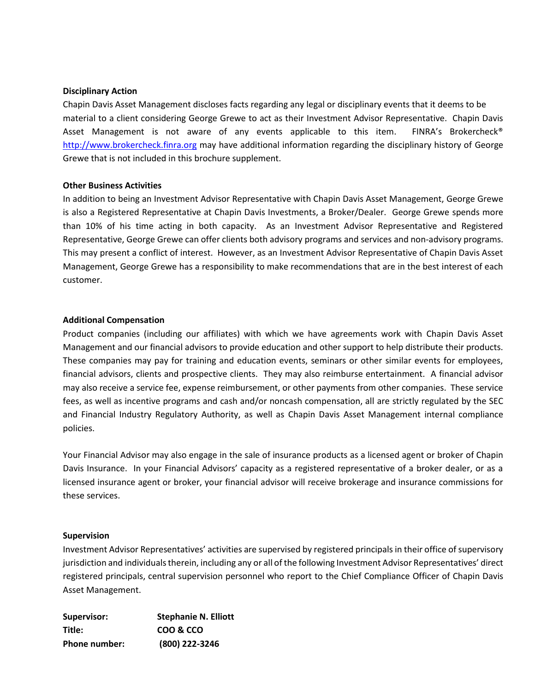#### **Disciplinary Action**

Chapin Davis Asset Management discloses facts regarding any legal or disciplinary events that it deems to be material to a client considering George Grewe to act as their Investment Advisor Representative. Chapin Davis Asset Management is not aware of any events applicable to this item. FINRA's Brokercheck® [http://www.brokercheck.finra.org](http://www.brokercheck.finra.org/) may have additional information regarding the disciplinary history of George Grewe that is not included in this brochure supplement.

#### **Other Business Activities**

In addition to being an Investment Advisor Representative with Chapin Davis Asset Management, George Grewe is also a Registered Representative at Chapin Davis Investments, a Broker/Dealer. George Grewe spends more than 10% of his time acting in both capacity. As an Investment Advisor Representative and Registered Representative, George Grewe can offer clients both advisory programs and services and non-advisory programs. This may present a conflict of interest. However, as an Investment Advisor Representative of Chapin Davis Asset Management, George Grewe has a responsibility to make recommendations that are in the best interest of each customer.

#### **Additional Compensation**

Product companies (including our affiliates) with which we have agreements work with Chapin Davis Asset Management and our financial advisors to provide education and other support to help distribute their products. These companies may pay for training and education events, seminars or other similar events for employees, financial advisors, clients and prospective clients. They may also reimburse entertainment. A financial advisor may also receive a service fee, expense reimbursement, or other payments from other companies. These service fees, as well as incentive programs and cash and/or noncash compensation, all are strictly regulated by the SEC and Financial Industry Regulatory Authority, as well as Chapin Davis Asset Management internal compliance policies.

Your Financial Advisor may also engage in the sale of insurance products as a licensed agent or broker of Chapin Davis Insurance. In your Financial Advisors' capacity as a registered representative of a broker dealer, or as a licensed insurance agent or broker, your financial advisor will receive brokerage and insurance commissions for these services.

#### **Supervision**

Investment Advisor Representatives' activities are supervised by registered principals in their office of supervisory jurisdiction and individuals therein, including any or all of the following Investment Advisor Representatives' direct registered principals, central supervision personnel who report to the Chief Compliance Officer of Chapin Davis Asset Management.

| Supervisor:          | <b>Stephanie N. Elliott</b> |
|----------------------|-----------------------------|
| Title:               | COO & CCO                   |
| <b>Phone number:</b> | (800) 222-3246              |